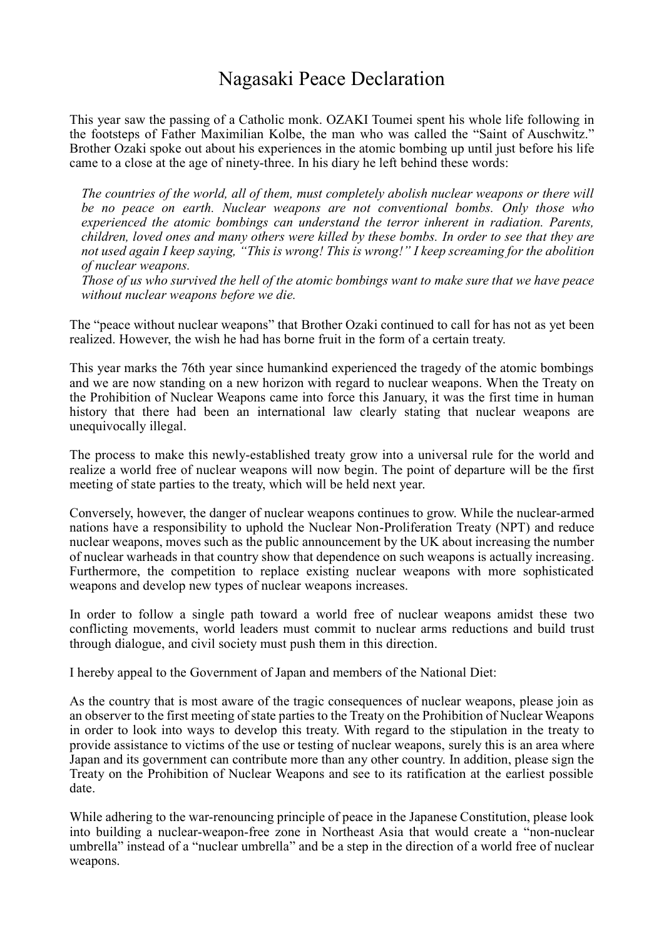## Nagasaki Peace Declaration

This year saw the passing of a Catholic monk. OZAKI Toumei spent his whole life following in the footsteps of Father Maximilian Kolbe, the man who was called the "Saint of Auschwitz." Brother Ozaki spoke out about his experiences in the atomic bombing up until just before his life came to a close at the age of ninety-three. In his diary he left behind these words:

*The countries of the world, all of them, must completely abolish nuclear weapons or there will be no peace on earth. Nuclear weapons are not conventional bombs. Only those who experienced the atomic bombings can understand the terror inherent in radiation. Parents, children, loved ones and many others were killed by these bombs. In order to see that they are not used again I keep saying, "This is wrong! This is wrong!" I keep screaming for the abolition of nuclear weapons.*

*Those of us who survived the hell of the atomic bombings want to make sure that we have peace without nuclear weapons before we die.*

The "peace without nuclear weapons" that Brother Ozaki continued to call for has not as yet been realized. However, the wish he had has borne fruit in the form of a certain treaty.

This year marks the 76th year since humankind experienced the tragedy of the atomic bombings and we are now standing on a new horizon with regard to nuclear weapons. When the Treaty on the Prohibition of Nuclear Weapons came into force this January, it was the first time in human history that there had been an international law clearly stating that nuclear weapons are unequivocally illegal.

The process to make this newly-established treaty grow into a universal rule for the world and realize a world free of nuclear weapons will now begin. The point of departure will be the first meeting of state parties to the treaty, which will be held next year.

Conversely, however, the danger of nuclear weapons continues to grow. While the nuclear-armed nations have a responsibility to uphold the Nuclear Non-Proliferation Treaty (NPT) and reduce nuclear weapons, moves such as the public announcement by the UK about increasing the number of nuclear warheads in that country show that dependence on such weapons is actually increasing. Furthermore, the competition to replace existing nuclear weapons with more sophisticated weapons and develop new types of nuclear weapons increases.

In order to follow a single path toward a world free of nuclear weapons amidst these two conflicting movements, world leaders must commit to nuclear arms reductions and build trust through dialogue, and civil society must push them in this direction.

I hereby appeal to the Government of Japan and members of the National Diet:

As the country that is most aware of the tragic consequences of nuclear weapons, please join as an observer to the first meeting of state parties to the Treaty on the Prohibition of Nuclear Weapons in order to look into ways to develop this treaty. With regard to the stipulation in the treaty to provide assistance to victims of the use or testing of nuclear weapons, surely this is an area where Japan and its government can contribute more than any other country. In addition, please sign the Treaty on the Prohibition of Nuclear Weapons and see to its ratification at the earliest possible date.

While adhering to the war-renouncing principle of peace in the Japanese Constitution, please look into building a nuclear-weapon-free zone in Northeast Asia that would create a "non-nuclear umbrella" instead of a "nuclear umbrella" and be a step in the direction of a world free of nuclear weapons.